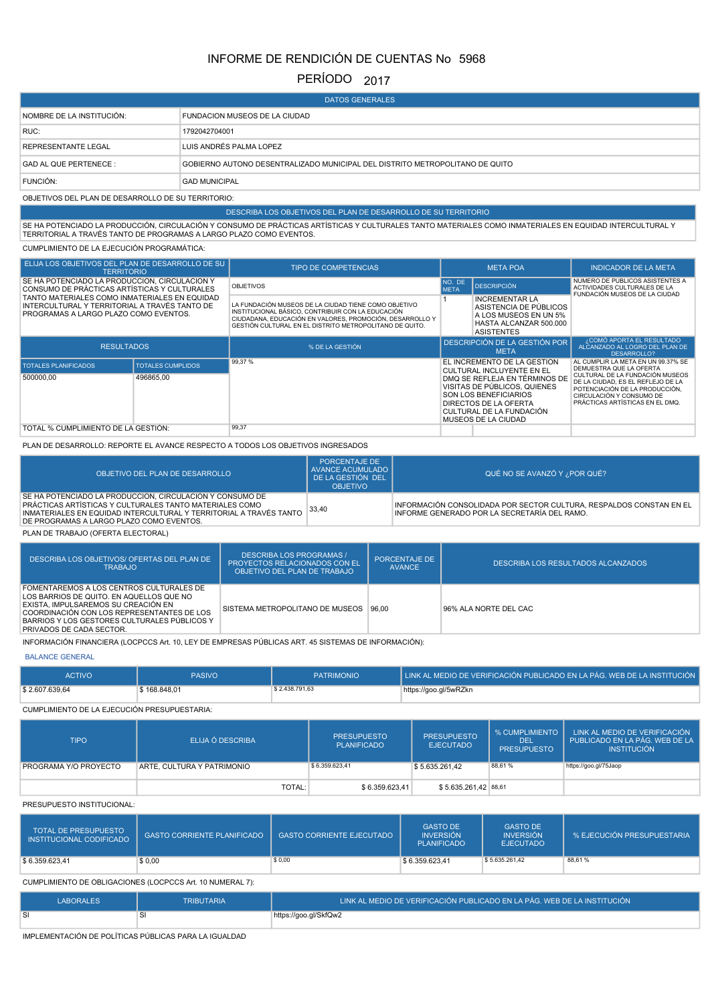# INFORME DE RENDICIÓN DE CUENTAS No 5968

## PERÍODO 2017

| <b>DATOS GENERALES</b>                             |                                                                              |  |  |  |  |  |
|----------------------------------------------------|------------------------------------------------------------------------------|--|--|--|--|--|
| NOMBRE DE LA INSTITUCIÓN:                          | FUNDACION MUSEOS DE LA CIUDAD                                                |  |  |  |  |  |
| RUC:                                               | 1792042704001                                                                |  |  |  |  |  |
| <b>REPRESENTANTE LEGAL</b>                         | LUIS ANDRÉS PALMA LOPEZ                                                      |  |  |  |  |  |
| <b>GAD AL QUE PERTENECE:</b>                       | GOBIERNO AUTONO DESENTRALIZADO MUNICIPAL DEL DISTRITO METROPOLITANO DE QUITO |  |  |  |  |  |
| FUNCIÓN:                                           | <b>GAD MUNICIPAL</b>                                                         |  |  |  |  |  |
| OBJETIVOS DEL PLAN DE DESARROLLO DE SU TERRITORIO: |                                                                              |  |  |  |  |  |

## DESCRIBA LOS OBJETIVOS DEL PLAN DE DESARROLLO DE SU TERRITORIO

SE HA POTENCIADO LA PRODUCCIÓN, CIRCULACIÓN Y CONSUMO DE PRÁCTICAS ARTÍSTICAS Y CULTURALES TANTO MATERIALES COMO INMATERIALES EN EQUIDAD INTERCULTURAL Y<br>TERRITORIAL A TRAVÉS TANTO DE PROGRAMAS A LARGO PLAZO COMO EVENTOS.

CUMPLIMIENTO DE LA EJECUCIÓN PROGRAMÁTICA:

| ELIJA LOS OBJETIVOS DEL PLAN DE DESARROLLO DE SU<br><b>TERRITORIO</b>                                                                   |                          | <b>TIPO DE COMPETENCIAS</b>                                                                                                                                                                                                      |                                                                                                                         | <b>META POA</b>                                                                                                                                                           | <b>INDICADOR DE LA META</b>                                                                                                                                           |
|-----------------------------------------------------------------------------------------------------------------------------------------|--------------------------|----------------------------------------------------------------------------------------------------------------------------------------------------------------------------------------------------------------------------------|-------------------------------------------------------------------------------------------------------------------------|---------------------------------------------------------------------------------------------------------------------------------------------------------------------------|-----------------------------------------------------------------------------------------------------------------------------------------------------------------------|
| SE HA POTENCIADO LA PRODUCCIÓN. CIRCULACIÓN Y<br>CONSUMO DE PRÁCTICAS ARTÍSTICAS Y CULTURALES                                           |                          | NO. DE<br><b>OBJETIVOS</b><br><b>META</b>                                                                                                                                                                                        |                                                                                                                         | <b>DESCRIPCIÓN</b>                                                                                                                                                        | NUMERO DE PUBLICOS ASISTENTES A<br>ACTIVIDADES CULTURALES DE LA<br>FUNDACIÓN MUSEOS DE LA CIUDAD                                                                      |
| TANTO MATERIALES COMO INMATERIALES EN EQUIDAD<br>INTERCULTURAL Y TERRITORIAL A TRAVÉS TANTO DE<br>PROGRAMAS A LARGO PLAZO COMO EVENTOS. |                          | LA FUNDACIÓN MUSEOS DE LA CIUDAD TIENE COMO OBJETIVO<br>INSTITUCIONAL BÁSICO, CONTRIBUIR CON LA EDUCACIÓN<br>CIUDADANA, EDUCACIÓN EN VALORES, PROMOCIÓN, DESARROLLO Y<br>GESTIÓN CULTURAL EN EL DISTRITO METROPOLITANO DE QUITO. | <b>INCREMENTAR LA</b><br>ASISTENCIA DE PÚBLICOS<br>A LOS MUSEOS EN UN 5%<br>HASTA ALCANZAR 500.000<br><b>ASISTENTES</b> |                                                                                                                                                                           |                                                                                                                                                                       |
| <b>RESULTADOS</b>                                                                                                                       |                          | % DE LA GESTIÓN                                                                                                                                                                                                                  |                                                                                                                         | DESCRIPCIÓN DE LA GESTIÓN POR<br><b>META</b>                                                                                                                              | ¿COMÓ APORTA EL RESULTADO<br>ALCANZADO AL LOGRO DEL PLAN DE<br>DESARROLLO?                                                                                            |
| <b>TOTALES PLANIFICADOS</b>                                                                                                             | <b>TOTALES CUMPLIDOS</b> | 99,37%                                                                                                                                                                                                                           |                                                                                                                         | EL INCREMENTO DE LA GESTIÓN<br>CULTURAL INCLUYENTE EN EL                                                                                                                  | AL CUMPLIR LA META EN UN 99.37% SE<br>DEMUESTRA QUE LA OFERTA                                                                                                         |
| 500000,00                                                                                                                               | 496865,00                |                                                                                                                                                                                                                                  |                                                                                                                         | DMQ SE REFLEJA EN TÉRMINOS DE<br>VISITAS DE PÚBLICOS. QUIENES<br>SON LOS BENEFICIARIOS<br>DIRECTOS DE LA OFERTA<br>CULTURAL DE LA FUNDACIÓN<br><b>MUSEOS DE LA CIUDAD</b> | CULTURAL DE LA FUNDACIÓN MUSEOS<br>DE LA CIUDAD, ES EL REFLEJO DE LA<br>POTENCIACIÓN DE LA PRODUCCIÓN.<br>CIRCULACIÓN Y CONSUMO DE<br>PRÁCTICAS ARTÍSTICAS EN EL DMQ. |
| TOTAL % CUMPLIMIENTO DE LA GESTIÓN:                                                                                                     |                          | 99,37                                                                                                                                                                                                                            |                                                                                                                         |                                                                                                                                                                           |                                                                                                                                                                       |

#### PLAN DE DESARROLLO: REPORTE EL AVANCE RESPECTO A TODOS LOS OBJETIVOS INGRESADOS

| OBJETIVO DEL PLAN DE DESARROLLO                                                                                                                                                                                                       | <b>PORCENTAJE DE</b><br>AVANCE ACUMULADO  <br>DE LA GESTIÓN DEL<br><b>OBJETIVO</b> | QUÉ NO SE AVANZÓ Y ¿POR QUÉ?                                                                                        |
|---------------------------------------------------------------------------------------------------------------------------------------------------------------------------------------------------------------------------------------|------------------------------------------------------------------------------------|---------------------------------------------------------------------------------------------------------------------|
| SE HA POTENCIADO LA PRODUCCIÓN. CIRCULACIÓN Y CONSUMO DE<br>PRÁCTICAS ARTÍSTICAS Y CULTURALES TANTO MATERIALES COMO<br>INMATERIALES EN EQUIDAD INTERCULTURAL Y TERRITORIAL A TRAVÉS TANTO<br>DE PROGRAMAS A LARGO PLAZO COMO EVENTOS. | 33.40                                                                              | INFORMACIÓN CONSOLIDADA POR SECTOR CULTURA. RESPALDOS CONSTAN EN EL<br>INFORME GENERADO POR LA SECRETARÍA DEL RAMO. |
| PLAN DE TRABAJO (OFERTA ELECTORAL)                                                                                                                                                                                                    |                                                                                    |                                                                                                                     |

| DESCRIBA LOS OBJETIVOS/ OFERTAS DEL PLAN DE<br>TRABAJO                                                                                                                                                                                                       | <b>DESCRIBA LOS PROGRAMAS /</b><br><b>PROYECTOS RELACIONADOS CON EL</b><br>OBJETIVO DEL PLAN DE TRABAJO | <b>PORCENTAJE DE</b><br><b>AVANCE</b> | DESCRIBA LOS RESULTADOS ALCANZADOS |
|--------------------------------------------------------------------------------------------------------------------------------------------------------------------------------------------------------------------------------------------------------------|---------------------------------------------------------------------------------------------------------|---------------------------------------|------------------------------------|
| FOMENTAREMOS A LOS CENTROS CULTURALES DE<br>LOS BARRIOS DE QUITO. EN AQUELLOS QUE NO<br>EXISTA. IMPULSAREMOS SU CREACIÓN EN<br>COORDINACIÓN CON LOS REPRESENTANTES DE LOS<br>BARRIOS Y LOS GESTORES CULTURALES PÚBLICOS Y<br><b>PRIVADOS DE CADA SECTOR.</b> | SISTEMA METROPOLITANO DE MUSEOS                                                                         | 96.00                                 | 96% ALA NORTE DEL CAC              |

INFORMACIÓN FINANCIERA (LOCPCCS Art. 10, LEY DE EMPRESAS PÚBLICAS ART. 45 SISTEMAS DE INFORMACIÓN):

#### BALANCE GENERAL

| \$2.607.639,64<br>\$2.438.791.63<br>\$168,848.01<br>https://goo.gl/5wRZkn | <b>ACTIVO</b> | <b>PASIVO</b> | <b>PATRIMONIO</b> | LLINK AL MEDIO DE VERIFICACIÓN PUBLICADO EN LA PÁG. WEB DE LA INSTITUCIÓN L |
|---------------------------------------------------------------------------|---------------|---------------|-------------------|-----------------------------------------------------------------------------|
|                                                                           |               |               |                   |                                                                             |

### CUMPLIMIENTO DE LA EJECUCIÓN PRESUPUESTARIA:

| <b>TIPO</b>           | ELIJA Ó DESCRIBA           | <b>PRESUPUESTO</b><br><b>PLANIFICADO</b> | <b>PRESUPUESTO</b><br><b>EJECUTADO</b> | % CUMPLIMIENTO<br><b>DEL</b><br><b>PRESUPUESTO</b> | LINK AL MEDIO DE VERIFICACIÓN<br>PUBLICADO EN LA PÁG. WEB DE LA<br><b>INSTITUCIÓN</b> |
|-----------------------|----------------------------|------------------------------------------|----------------------------------------|----------------------------------------------------|---------------------------------------------------------------------------------------|
| PROGRAMA Y/O PROYECTO | ARTE, CULTURA Y PATRIMONIO | \$6.359.623.41                           | S 5.635.261.42                         | 88.61%                                             | https://goo.gl/75Jaop                                                                 |
|                       | TOTAL:                     | \$6.359.623.41                           | \$5.635.261,42 88,61                   |                                                    |                                                                                       |

#### PRESUPUESTO INSTITUCIONAL:

| <b>TOTAL DE PRESUPUESTO</b><br>INSTITUCIONAL CODIFICADO | <b>GASTO CORRIENTE PLANIFICADO</b> | <b>GASTO CORRIENTE EJECUTADO</b> | <b>GASTO DE</b><br><b>INVERSIÓN</b><br><b>PLANIFICADO</b> | <b>GASTO DE</b><br><b>INVERSIÓN</b><br><b>EJECUTADO</b> | % EJECUCIÓN PRESUPUESTARIA |
|---------------------------------------------------------|------------------------------------|----------------------------------|-----------------------------------------------------------|---------------------------------------------------------|----------------------------|
| \$6.359.623.41                                          | \$0,00                             | \$0,00                           | \$6.359.623.41                                            | \$5.635.261.42                                          | 88,61%                     |

## CUMPLIMIENTO DE OBLIGACIONES (LOCPCCS Art. 10 NUMERAL 7):

| <b>LABORALES</b> | TRIBUTARIA | LLINK AL MEDIO DE VERIFICACIÓN PUBLICADO EN LA PÁG. WEB DE LA INSTITUCIÓN <sup>1</sup> |
|------------------|------------|----------------------------------------------------------------------------------------|
| SI               |            | https://goo.gl/SkfQw2                                                                  |

IMPLEMENTACIÓN DE POLÍTICAS PÚBLICAS PARA LA IGUALDAD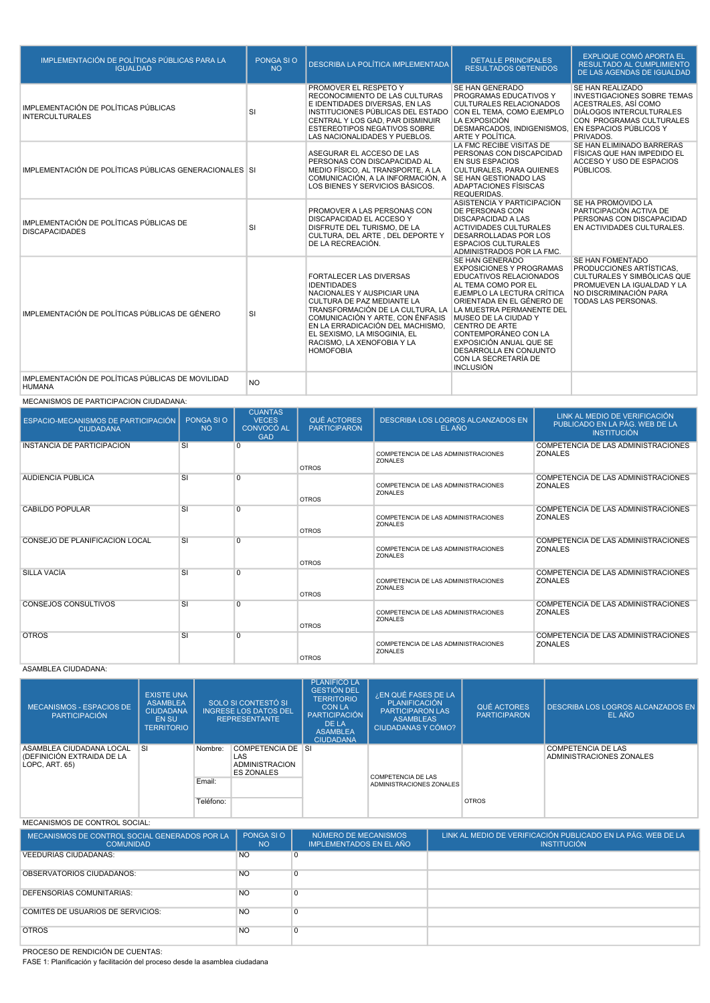| IMPLEMENTACIÓN DE POLÍTICAS PÚBLICAS PARA LA<br><b>IGUALDAD</b>    | PONGA SI O<br><b>NO</b> | DESCRIBA LA POLÍTICA IMPLEMENTADA                                                                                                                                                                                                                                                                              | <b>DETALLE PRINCIPALES</b><br><b>RESULTADOS OBTENIDOS</b>                                                                                                                                                                                                                                                                                                              | <b>EXPLIQUE COMÓ APORTA EL</b><br><b>RESULTADO AL CUMPLIMIENTO</b><br>DE LAS AGENDAS DE IGUALDAD                                                                         |
|--------------------------------------------------------------------|-------------------------|----------------------------------------------------------------------------------------------------------------------------------------------------------------------------------------------------------------------------------------------------------------------------------------------------------------|------------------------------------------------------------------------------------------------------------------------------------------------------------------------------------------------------------------------------------------------------------------------------------------------------------------------------------------------------------------------|--------------------------------------------------------------------------------------------------------------------------------------------------------------------------|
| IMPLEMENTACIÓN DE POLÍTICAS PÚBLICAS<br><b>INTERCULTURALES</b>     | SI                      | PROMOVER EL RESPETO Y<br>RECONOCIMIENTO DE LAS CULTURAS<br>E IDENTIDADES DIVERSAS, EN LAS<br>INSTITUCIONES PÚBLICAS DEL ESTADO<br>CENTRAL Y LOS GAD, PAR DISMINUIR<br><b>ESTEREOTIPOS NEGATIVOS SOBRE</b><br>LAS NACIONALIDADES Y PUEBLOS.                                                                     | <b>SE HAN GENERADO</b><br>PROGRAMAS EDUCATIVOS Y<br><b>CULTURALES RELACIONADOS</b><br>CON EL TEMA, COMO EJEMPLO<br>LA EXPOSICIÓN<br>DESMARCADOS, INDIGENISMOS, EN ESPACIOS PÚBLICOS Y<br>ARTE Y POLÍTICA.                                                                                                                                                              | SE HAN REALIZADO<br><b>INVESTIGACIONES SOBRE TEMAS</b><br>ACESTRALES, ASÍ COMO<br><b>DIÁLOGOS INTERCULTURALES</b><br>CON PROGRAMAS CULTURALES<br>PRIVADOS.               |
| IMPLEMENTACIÓN DE POLÍTICAS PÚBLICAS GENERACIONALES SI             |                         | ASEGURAR EL ACCESO DE LAS<br>PERSONAS CON DISCAPACIDAD AL<br>MEDIO FÍSICO, AL TRANSPORTE, A LA<br>COMUNICACIÓN, A LA INFORMACIÓN, A<br>LOS BIENES Y SERVICIOS BÁSICOS.                                                                                                                                         | LA FMC RECIBE VISITAS DE<br>PERSONAS CON DISCAPCIDAD<br><b>EN SUS ESPACIOS</b><br><b>CULTURALES, PARA QUIENES</b><br>SE HAN GESTIONADO LAS<br>ADAPTACIONES FÍSISCAS<br><b>REQUERIDAS.</b>                                                                                                                                                                              | SE HAN ELIMINADO BARRERAS<br>FÍSICAS QUE HAN IMPEDIDO EL<br>ACCESO Y USO DE ESPACIOS<br>PÚBLICOS.                                                                        |
| IMPLEMENTACIÓN DE POLÍTICAS PÚBLICAS DE<br><b>DISCAPACIDADES</b>   | SI                      | PROMOVER A LAS PERSONAS CON<br>DISCAPACIDAD EL ACCESO Y<br>DISFRUTE DEL TURISMO. DE LA<br>CULTURA, DEL ARTE, DEL DEPORTE Y<br>DE LA RECREACIÓN.                                                                                                                                                                | ASISTENCIA Y PARTICIPACIÓN<br><b>DE PERSONAS CON</b><br><b>DISCAPACIDAD A LAS</b><br><b>ACTIVIDADES CULTURALES</b><br><b>DESARROLLADAS POR LOS</b><br><b>ESPACIOS CULTURALES</b><br>ADMINISTRADOS POR LA FMC.                                                                                                                                                          | SE HA PROMOVIDO LA<br>PARTICIPACIÓN ACTIVA DE<br>PERSONAS CON DISCAPACIDAD<br>EN ACTIVIDADES CULTURALES.                                                                 |
| IMPLEMENTACIÓN DE POLÍTICAS PÚBLICAS DE GÉNERO                     | <b>SI</b>               | <b>FORTALECER LAS DIVERSAS</b><br><b>IDENTIDADES</b><br>NACIONALES Y AUSPICIAR UNA<br>CULTURA DE PAZ MEDIANTE LA<br>TRANSFORMACIÓN DE LA CULTURA. LA<br>COMUNICACIÓN Y ARTE, CON ÉNFASIS<br>EN LA ERRADICACIÓN DEL MACHISMO.<br>EL SEXISMO, LA MISOGINIA, EL<br>RACISMO. LA XENOFOBIA Y LA<br><b>HOMOFOBIA</b> | SE HAN GENERADO<br><b>EXPOSICIONES Y PROGRAMAS</b><br><b>EDUCATIVOS RELACIONADOS</b><br>AL TEMA COMO POR EL<br>EJEMPLO LA LECTURA CRÍTICA<br>ORIENTADA EN EL GÉNERO DE<br>LA MUESTRA PERMANENTE DEL<br>MUSEO DE LA CIUDAD Y<br>CENTRO DE ARTE<br>CONTEMPORÁNEO CON LA<br>EXPOSICIÓN ANUAL QUE SE<br>DESARROLLA EN CONJUNTO<br>CON LA SECRETARÍA DE<br><b>INCLUSIÓN</b> | SE HAN FOMENTADO<br><b>PRODUCCIONES ARTÍSTICAS.</b><br>CULTURALES Y SIMBÓLICAS QUE<br>PROMUEVEN LA IGUALDAD Y LA<br>NO DISCRIMINACIÓN PARA<br><b>TODAS LAS PERSONAS.</b> |
| IMPLEMENTACIÓN DE POLÍTICAS PÚBLICAS DE MOVILIDAD<br><b>HUMANA</b> | <b>NO</b>               |                                                                                                                                                                                                                                                                                                                |                                                                                                                                                                                                                                                                                                                                                                        |                                                                                                                                                                          |

## MECANISMOS DE PARTICIPACION CIUDADANA:

| ESPACIO-MECANISMOS DE PARTICIPACIÓN<br><b>CIUDADANA</b> | PONGA SLO<br><b>NO</b>   | <b>CUANTAS</b><br><b>VECES</b><br>CONVOCÓ AL<br><b>GAD</b> | QUÉ ACTORES<br><b>PARTICIPARON</b> | <b>DESCRIBA LOS LOGROS ALCANZADOS EN</b><br>EL AÑO    | LINK AL MEDIO DE VERIFICACIÓN<br>PUBLICADO EN LA PÁG. WEB DE LA<br><b>INSTITUCIÓN</b> |
|---------------------------------------------------------|--------------------------|------------------------------------------------------------|------------------------------------|-------------------------------------------------------|---------------------------------------------------------------------------------------|
| <b>INSTANCIA DE PARTICIPACIÓN</b>                       | SI                       | $\Omega$                                                   | <b>OTROS</b>                       | COMPETENCIA DE LAS ADMINISTRACIONES<br><b>ZONALES</b> | COMPETENCIA DE LAS ADMINISTRACIONES<br><b>ZONALES</b>                                 |
| AUDIENCIA PÚBLICA                                       | $\overline{\rm SI}$      | $\Omega$                                                   | <b>OTROS</b>                       | COMPETENCIA DE LAS ADMINISTRACIONES<br><b>ZONALES</b> | COMPETENCIA DE LAS ADMINISTRACIONES<br><b>ZONALES</b>                                 |
| CABILDO POPULAR                                         | $\overline{\mathsf{SI}}$ | $\Omega$                                                   | <b>OTROS</b>                       | COMPETENCIA DE LAS ADMINISTRACIONES<br>ZONALES        | COMPETENCIA DE LAS ADMINISTRACIONES<br><b>ZONALES</b>                                 |
| CONSEJO DE PLANIFICACIÓN LOCAL                          | $\overline{\mathsf{SI}}$ | $\Omega$                                                   | <b>OTROS</b>                       | COMPETENCIA DE LAS ADMINISTRACIONES<br>ZONALES        | COMPETENCIA DE LAS ADMINISTRACIONES<br><b>ZONALES</b>                                 |
| <b>SILLA VACIA</b>                                      | $\overline{\mathsf{SI}}$ | $\overline{0}$                                             | <b>OTROS</b>                       | COMPETENCIA DE LAS ADMINISTRACIONES<br>ZONALES        | COMPETENCIA DE LAS ADMINISTRACIONES<br><b>ZONALES</b>                                 |
| CONSEJOS CONSULTIVOS                                    | $\overline{\mathsf{SI}}$ | $\Omega$                                                   | <b>OTROS</b>                       | COMPETENCIA DE LAS ADMINISTRACIONES<br>ZONALES        | COMPETENCIA DE LAS ADMINISTRACIONES<br><b>ZONALES</b>                                 |
| <b>OTROS</b>                                            | SI                       | $\overline{0}$                                             | <b>OTROS</b>                       | COMPETENCIA DE LAS ADMINISTRACIONES<br><b>ZONALES</b> | COMPETENCIA DE LAS ADMINISTRACIONES<br><b>ZONALES</b>                                 |

## ASAMBLEA CIUDADANA:

| <b>MECANISMOS - ESPACIOS DE</b><br><b>PARTICIPACIÓN</b>                  | <b>EXISTE UNA</b><br><b>ASAMBLEA</b><br><b>CIUDADANA</b><br><b>EN SU</b><br><b>TERRITORIO</b> |                   | SOLO SI CONTESTÓ SI<br><b>INGRESE LOS DATOS DEL</b><br><b>REPRESENTANTE</b> | <b>PLANIFICO LA</b><br><b>GESTIÓN DEL</b><br><b>TERRITORIO</b><br><b>CON LA</b><br><b>PARTICIPACIÓN</b><br>DE LA<br><b>ASAMBLEA</b><br><b>CIUDADANA</b> | ¿EN QUÉ FASES DE LA<br><b>PLANIFICACIÓN</b><br><b>PARTICIPARON LAS</b><br><b>ASAMBLEAS</b><br>CIUDADANAS Y CÓMO? | QUÉ ACTORES<br><b>PARTICIPARON</b> | <b>DESCRIBA LOS LOGROS ALCANZADOS EN</b><br>EL AÑO    |
|--------------------------------------------------------------------------|-----------------------------------------------------------------------------------------------|-------------------|-----------------------------------------------------------------------------|---------------------------------------------------------------------------------------------------------------------------------------------------------|------------------------------------------------------------------------------------------------------------------|------------------------------------|-------------------------------------------------------|
| ASAMBLEA CIUDADANA LOCAL<br>(DEFINICIÓN EXTRAIDA DE LA<br>LOPC, ART, 65) | <b>SI</b>                                                                                     | Nombre:<br>Email: | COMPETENCIA DE SI<br>LAS<br><b>ADMINISTRACION</b><br><b>ES ZONALES</b>      |                                                                                                                                                         | <b>COMPETENCIA DE LAS</b><br>ADMINISTRACIONES ZONALES                                                            |                                    | <b>COMPETENCIA DE LAS</b><br>ADMINISTRACIONES ZONALES |
|                                                                          |                                                                                               | Teléfono:         |                                                                             |                                                                                                                                                         |                                                                                                                  | <b>OTROS</b>                       |                                                       |

## MECANISMOS DE CONTROL SOCIAL:

| MECANISMOS DE CONTROL SOCIAL GENERADOS POR LA<br><b>COMUNIDAD</b> | PONGA SIO<br><b>NO</b> | NÚMERO DE MECANISMOS<br><b>IMPLEMENTADOS EN EL AÑO</b> | LINK AL MEDIO DE VERIFICACIÓN PUBLICADO EN LA PÁG. WEB DE LA<br><b>INSTITUCIÓN</b> |
|-------------------------------------------------------------------|------------------------|--------------------------------------------------------|------------------------------------------------------------------------------------|
| <b>VEEDURIAS CIUDADANAS:</b>                                      | N <sub>O</sub>         | $\Omega$                                               |                                                                                    |
| OBSERVATORIOS CIUDADANOS:                                         | <b>NO</b>              | $\Omega$                                               |                                                                                    |
| <b>DEFENSORIAS COMUNITARIAS:</b>                                  | N <sub>O</sub>         | 0                                                      |                                                                                    |
| <b>COMITÉS DE USUARIOS DE SERVICIOS:</b>                          | N <sub>O</sub>         | $\Omega$                                               |                                                                                    |
| <b>OTROS</b>                                                      | N <sub>O</sub>         | $\mathbf 0$                                            |                                                                                    |

PROCESO DE RENDICIÓN DE CUENTAS:

FASE 1: Planificación y facilitación del proceso desde la asamblea ciudadana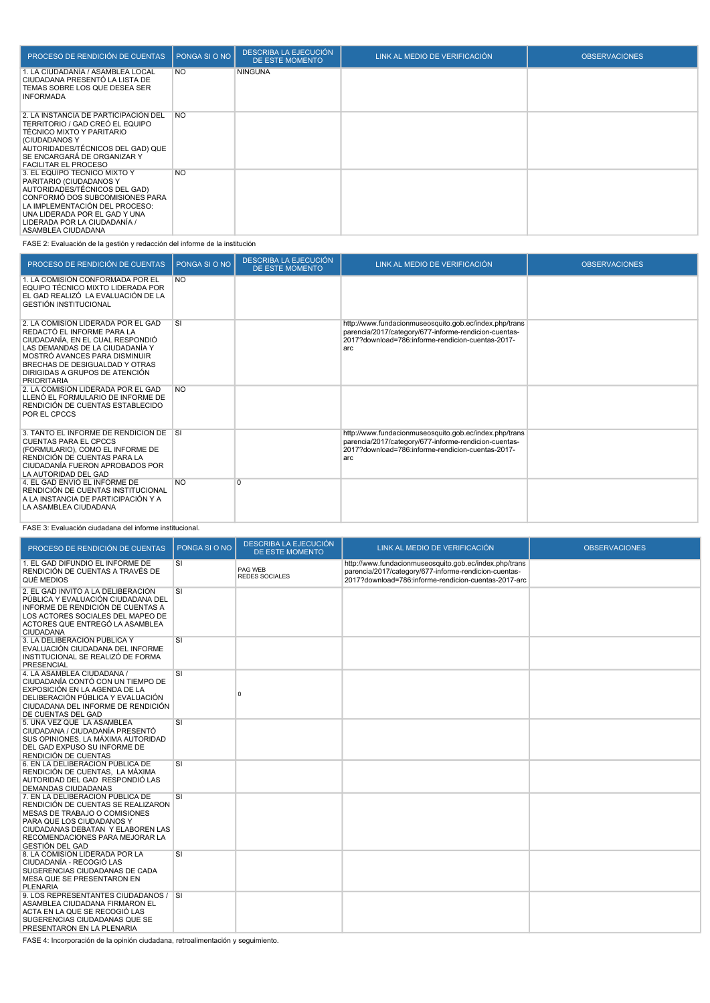| PROCESO DE RENDICIÓN DE CUENTAS                                                                                                                                                                                                                      | PONGA SI O NO | <b>DESCRIBA LA EJECUCIÓN</b><br>DE ESTE MOMENTO | LINK AL MEDIO DE VERIFICACIÓN | <b>OBSERVACIONES</b> |
|------------------------------------------------------------------------------------------------------------------------------------------------------------------------------------------------------------------------------------------------------|---------------|-------------------------------------------------|-------------------------------|----------------------|
| I. LA CIUDADANÍA / ASAMBLEA LOCAL<br>CIUDADANA PRESENTÓ LA LISTA DE<br>TEMAS SOBRE LOS QUE DESEA SER<br><b>INFORMADA</b>                                                                                                                             | <b>NO</b>     | <b>NINGUNA</b>                                  |                               |                      |
| 2. LA INSTANCIA DE PARTICIPACIÓN DEL<br>TERRITORIO / GAD CREÓ EL EQUIPO<br>TÉCNICO MIXTO Y PARITARIO<br>(CIUDADANOS Y<br>AUTORIDADES/TÉCNICOS DEL GAD) QUE<br>SE ENCARGARÁ DE ORGANIZAR Y<br><b>FACILITAR EL PROCESO</b>                             | <b>NO</b>     |                                                 |                               |                      |
| 3. EL EQUIPO TÉCNICO MIXTO Y<br>PARITARIO (CIUDADANOS Y<br>AUTORIDADES/TÉCNICOS DEL GAD)<br>CONFORMÓ DOS SUBCOMISIONES PARA<br>LA IMPLEMENTACIÓN DEL PROCESO:<br>UNA LIDERADA POR EL GAD Y UNA<br>LIDERADA POR LA CIUDADANÍA /<br>ASAMBLEA CIUDADANA | <b>NO</b>     |                                                 |                               |                      |

FASE 2: Evaluación de la gestión y redacción del informe de la institución

| PROCESO DE RENDICIÓN DE CUENTAS                                                                                                                                                                                                                                    | PONGA SI O NO | <b>DESCRIBA LA EJECUCIÓN</b><br>DE ESTE MOMENTO | LINK AL MEDIO DE VERIFICACIÓN                                                                                                                                               | <b>OBSERVACIONES</b> |
|--------------------------------------------------------------------------------------------------------------------------------------------------------------------------------------------------------------------------------------------------------------------|---------------|-------------------------------------------------|-----------------------------------------------------------------------------------------------------------------------------------------------------------------------------|----------------------|
| 1. LA COMISIÓN CONFORMADA POR EL<br>EQUIPO TÉCNICO MIXTO LIDERADA POR<br>EL GAD REALIZÓ LA EVALUACIÓN DE LA<br><b>GESTIÓN INSTITUCIONAL</b>                                                                                                                        | <b>NO</b>     |                                                 |                                                                                                                                                                             |                      |
| 2. LA COMISIÓN LIDERADA POR EL GAD<br>REDACTÓ EL INFORME PARA LA<br>CIUDADANÍA. EN EL CUAL RESPONDIÓ<br>LAS DEMANDAS DE LA CIUDADANÍA Y<br>MOSTRÓ AVANCES PARA DISMINUIR<br>BRECHAS DE DESIGUALDAD Y OTRAS<br>DIRIGIDAS A GRUPOS DE ATENCIÓN<br><b>PRIORITARIA</b> | <b>SI</b>     |                                                 | http://www.fundacionmuseosquito.gob.ec/index.php/trans<br>parencia/2017/category/677-informe-rendicion-cuentas-<br>2017?download=786:informe-rendicion-cuentas-2017-<br>arc |                      |
| 2. LA COMISIÓN LIDERADA POR EL GAD<br>LLENÓ EL FORMULARIO DE INFORME DE<br>RENDICIÓN DE CUENTAS ESTABLECIDO<br>POR EL CPCCS                                                                                                                                        | <b>NO</b>     |                                                 |                                                                                                                                                                             |                      |
| 3. TANTO EL INFORME DE RENDICIÓN DE SI<br><b>CUENTAS PARA EL CPCCS</b><br>(FORMULARIO), COMO EL INFORME DE<br>RENDICIÓN DE CUENTAS PARA LA<br>CIUDADANÍA FUERON APROBADOS POR<br>LA AUTORIDAD DEL GAD                                                              |               |                                                 | http://www.fundacionmuseosquito.gob.ec/index.php/trans<br>parencia/2017/category/677-informe-rendicion-cuentas-<br>2017?download=786:informe-rendicion-cuentas-2017-<br>arc |                      |
| 4. EL GAD ENVIO EL INFORME DE<br>RENDICIÓN DE CUENTAS INSTITUCIONAL<br>A LA INSTANCIA DE PARTICIPACIÓN Y A<br>LA ASAMBLEA CIUDADANA                                                                                                                                | <b>NO</b>     | $\overline{0}$                                  |                                                                                                                                                                             |                      |

FASE 3: Evaluación ciudadana del informe institucional.

| PROCESO DE RENDICIÓN DE CUENTAS                                                                                                                                                                                                        | PONGA SI O NO | <b>DESCRIBA LA EJECUCIÓN</b><br><b>DE ESTE MOMENTO</b> | LINK AL MEDIO DE VERIFICACIÓN                                                                                                                                           | <b>OBSERVACIONES</b> |
|----------------------------------------------------------------------------------------------------------------------------------------------------------------------------------------------------------------------------------------|---------------|--------------------------------------------------------|-------------------------------------------------------------------------------------------------------------------------------------------------------------------------|----------------------|
| 1. EL GAD DIFUNDIÓ EL INFORME DE<br>RENDICIÓN DE CUENTAS A TRAVÉS DE<br>QUÉ MEDIOS                                                                                                                                                     | SI            | PAG WEB<br><b>REDES SOCIALES</b>                       | http://www.fundacionmuseosquito.gob.ec/index.php/trans<br>parencia/2017/category/677-informe-rendicion-cuentas-<br>2017?download=786:informe-rendicion-cuentas-2017-arc |                      |
| 2. EL GAD INVITÓ A LA DELIBERACIÓN<br>PÚBLICA Y EVALUACIÓN CIUDADANA DEL<br>INFORME DE RENDICIÓN DE CUENTAS A<br>LOS ACTORES SOCIALES DEL MAPEO DE<br>ACTORES QUE ENTREGÓ LA ASAMBLEA<br><b>CIUDADANA</b>                              | SI            |                                                        |                                                                                                                                                                         |                      |
| 3. LA DELIBERACIÓN PUBLICA Y<br>EVALUACIÓN CIUDADANA DEL INFORME<br>INSTITUCIONAL SE REALIZÓ DE FORMA<br><b>PRESENCIAL</b>                                                                                                             | SI            |                                                        |                                                                                                                                                                         |                      |
| 4. LA ASAMBLEA CIUDADANA /<br>CIUDADANÍA CONTÓ CON UN TIEMPO DE<br>EXPOSICIÓN EN LA AGENDA DE LA<br>DELIBERACIÓN PÚBLICA Y EVALUACIÓN<br>CIUDADANA DEL INFORME DE RENDICIÓN<br>DE CUENTAS DEL GAD                                      | SI            | 0                                                      |                                                                                                                                                                         |                      |
| 5. UNA VEZ QUE LA ASAMBLEA<br>CIUDADANA / CIUDADANÍA PRESENTÓ<br>SUS OPINIONES, LA MÁXIMA AUTORIDAD<br>DEL GAD EXPUSO SU INFORME DE<br>RENDICIÓN DE CUENTAS                                                                            | SI            |                                                        |                                                                                                                                                                         |                      |
| 6. EN LA DELIBERACIÓN PUBLICA DE<br>RENDICIÓN DE CUENTAS. LA MÁXIMA<br>AUTORIDAD DEL GAD RESPONDIÓ LAS<br><b>DEMANDAS CIUDADANAS</b>                                                                                                   | SI            |                                                        |                                                                                                                                                                         |                      |
| 7. EN LA DELIBERACIÓN PÚBLICA DE<br>RENDICIÓN DE CUENTAS SE REALIZARON<br>MESAS DE TRABAJO O COMISIONES<br>PARA QUE LOS CIUDADANOS Y<br>CIUDADANAS DEBATAN Y ELABOREN LAS<br>RECOMENDACIONES PARA MEJORAR LA<br><b>GESTIÓN DEL GAD</b> | SI            |                                                        |                                                                                                                                                                         |                      |
| 8. LA COMISIÓN LIDERADA POR LA<br>CIUDADANÍA - RECOGIÓ LAS<br>SUGERENCIAS CIUDADANAS DE CADA<br>MESA QUE SE PRESENTARON EN<br><b>PLENARIA</b>                                                                                          | SI            |                                                        |                                                                                                                                                                         |                      |
| 9. LOS REPRESENTANTES CIUDADANOS / SI<br>ASAMBLEA CIUDADANA FIRMARON EL<br>ACTA EN LA QUE SE RECOGIÓ LAS<br>SUGERENCIAS CIUDADANAS QUE SE<br>PRESENTARON EN LA PLENARIA                                                                |               |                                                        |                                                                                                                                                                         |                      |

FASE 4: Incorporación de la opinión ciudadana, retroalimentación y seguimiento.